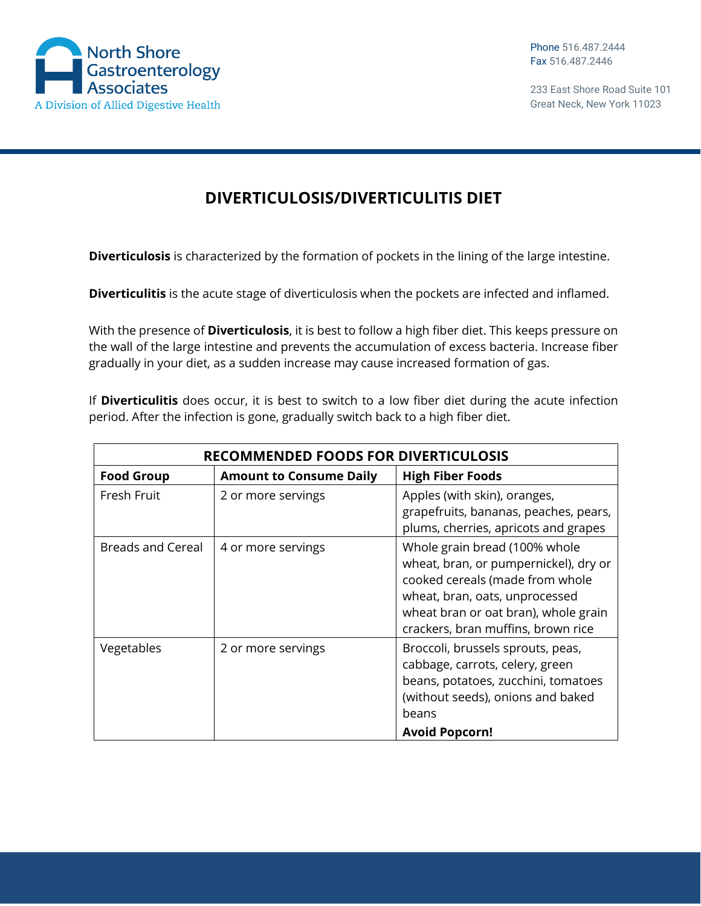

233 East Shore Road Suite 101 Great Neck, New York 11023

## **DIVERTICULOSIS/DIVERTICULITIS DIET**

**Diverticulosis** is characterized by the formation of pockets in the lining of the large intestine.

**Diverticulitis** is the acute stage of diverticulosis when the pockets are infected and inflamed.

With the presence of **Diverticulosis**, it is best to follow a high fiber diet. This keeps pressure on the wall of the large intestine and prevents the accumulation of excess bacteria. Increase fiber gradually in your diet, as a sudden increase may cause increased formation of gas.

If **Diverticulitis** does occur, it is best to switch to a low fiber diet during the acute infection period. After the infection is gone, gradually switch back to a high fiber diet.

| <b>RECOMMENDED FOODS FOR DIVERTICULOSIS</b> |                                |                                                                                                                                                                                                                           |  |
|---------------------------------------------|--------------------------------|---------------------------------------------------------------------------------------------------------------------------------------------------------------------------------------------------------------------------|--|
| <b>Food Group</b>                           | <b>Amount to Consume Daily</b> | <b>High Fiber Foods</b>                                                                                                                                                                                                   |  |
| Fresh Fruit                                 | 2 or more servings             | Apples (with skin), oranges,<br>grapefruits, bananas, peaches, pears,<br>plums, cherries, apricots and grapes                                                                                                             |  |
| Breads and Cereal                           | 4 or more servings             | Whole grain bread (100% whole<br>wheat, bran, or pumpernickel), dry or<br>cooked cereals (made from whole<br>wheat, bran, oats, unprocessed<br>wheat bran or oat bran), whole grain<br>crackers, bran muffins, brown rice |  |
| Vegetables                                  | 2 or more servings             | Broccoli, brussels sprouts, peas,<br>cabbage, carrots, celery, green<br>beans, potatoes, zucchini, tomatoes<br>(without seeds), onions and baked<br>beans<br><b>Avoid Popcorn!</b>                                        |  |